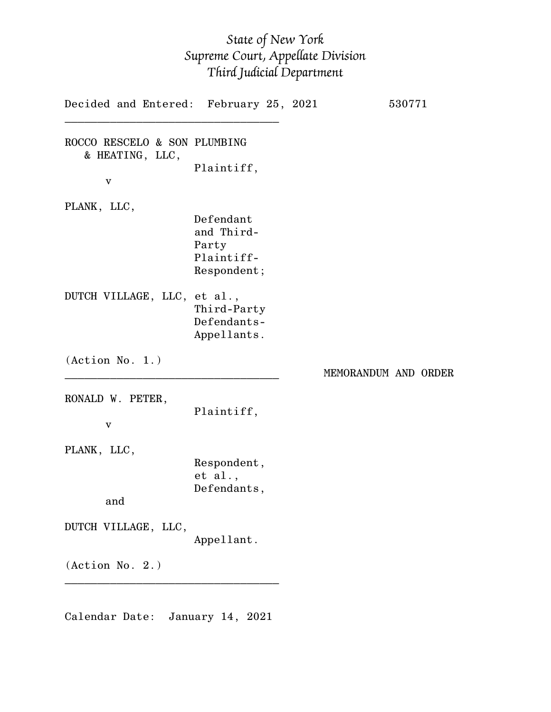## *State of New York Supreme Court, Appellate Division Third Judicial Department*

| Decided and Entered: February 25, 2021                          |                                                               |                      | 530771 |  |
|-----------------------------------------------------------------|---------------------------------------------------------------|----------------------|--------|--|
| ROCCO RESCELO & SON PLUMBING<br>& HEATING, LLC,<br>$\mathbf{V}$ | Plaintiff,                                                    |                      |        |  |
| PLANK, LLC,                                                     | Defendant<br>and Third-<br>Party<br>Plaintiff-<br>Respondent; |                      |        |  |
| DUTCH VILLAGE, LLC, et al.,                                     | Third-Party<br>Defendants-<br>Appellants.                     |                      |        |  |
| (Action No. 1.)                                                 |                                                               | MEMORANDUM AND ORDER |        |  |
| RONALD W. PETER,<br>v                                           | Plaintiff,                                                    |                      |        |  |
| PLANK, LLC,<br>and                                              | Respondent,<br>et al.,<br>Defendants,                         |                      |        |  |
| DUTCH VILLAGE, LLC,                                             |                                                               |                      |        |  |
|                                                                 | Appellant.                                                    |                      |        |  |

Calendar Date: January 14, 2021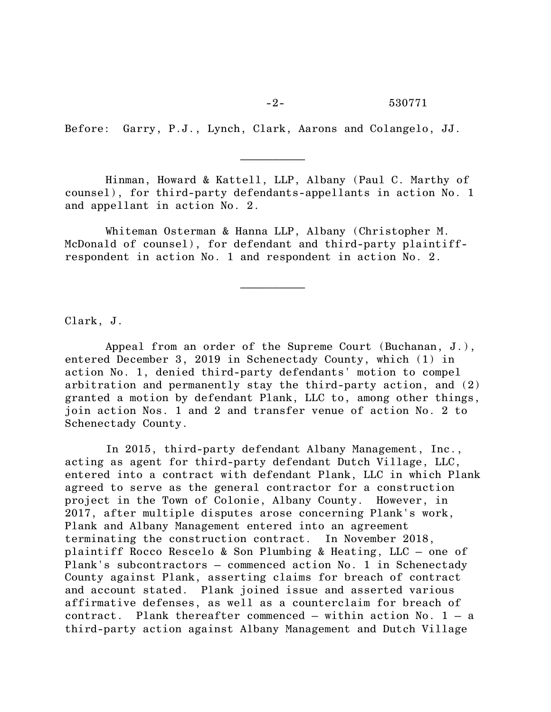Before: Garry, P.J., Lynch, Clark, Aarons and Colangelo, JJ.

 $\mathcal{L}_\text{max}$  and  $\mathcal{L}_\text{max}$  and  $\mathcal{L}_\text{max}$ 

 $\mathcal{L}_\text{max}$  and  $\mathcal{L}_\text{max}$  are the set of  $\mathcal{L}_\text{max}$  . The set of  $\mathcal{L}_\text{max}$ 

Hinman, Howard & Kattell, LLP, Albany (Paul C. Marthy of counsel), for third-party defendants-appellants in action No. 1 and appellant in action No. 2.

Whiteman Osterman & Hanna LLP, Albany (Christopher M. McDonald of counsel), for defendant and third-party plaintiffrespondent in action No. 1 and respondent in action No. 2.

Clark, J.

Appeal from an order of the Supreme Court (Buchanan, J.), entered December 3, 2019 in Schenectady County, which (1) in action No. 1, denied third-party defendants' motion to compel arbitration and permanently stay the third-party action, and (2) granted a motion by defendant Plank, LLC to, among other things, join action Nos. 1 and 2 and transfer venue of action No. 2 to Schenectady County.

In 2015, third-party defendant Albany Management, Inc., acting as agent for third-party defendant Dutch Village, LLC, entered into a contract with defendant Plank, LLC in which Plank agreed to serve as the general contractor for a construction project in the Town of Colonie, Albany County. However, in 2017, after multiple disputes arose concerning Plank's work, Plank and Albany Management entered into an agreement terminating the construction contract. In November 2018, plaintiff Rocco Rescelo & Son Plumbing & Heating, LLC – one of Plank's subcontractors – commenced action No. 1 in Schenectady County against Plank, asserting claims for breach of contract and account stated. Plank joined issue and asserted various affirmative defenses, as well as a counterclaim for breach of contract. Plank thereafter commenced  $-$  within action No. 1  $-$  a third-party action against Albany Management and Dutch Village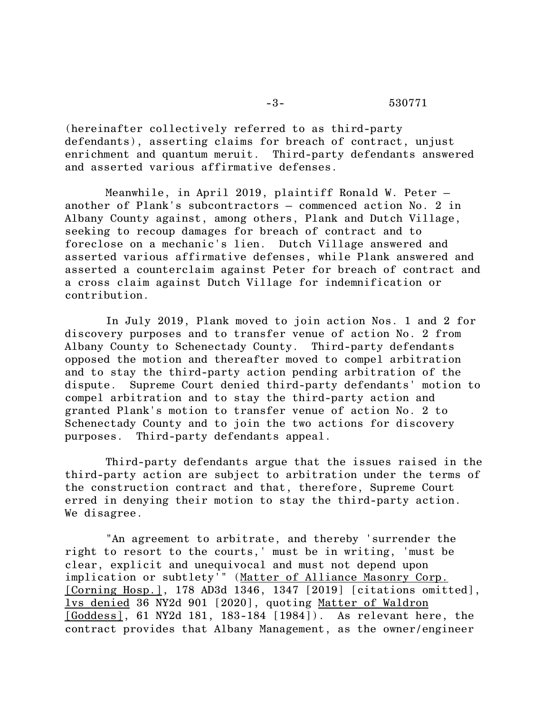(hereinafter collectively referred to as third-party defendants), asserting claims for breach of contract, unjust enrichment and quantum meruit. Third-party defendants answered and asserted various affirmative defenses.

Meanwhile, in April 2019, plaintiff Ronald W. Peter – another of Plank's subcontractors – commenced action No. 2 in Albany County against, among others, Plank and Dutch Village, seeking to recoup damages for breach of contract and to foreclose on a mechanic's lien. Dutch Village answered and asserted various affirmative defenses, while Plank answered and asserted a counterclaim against Peter for breach of contract and a cross claim against Dutch Village for indemnification or contribution.

In July 2019, Plank moved to join action Nos. 1 and 2 for discovery purposes and to transfer venue of action No. 2 from Albany County to Schenectady County. Third-party defendants opposed the motion and thereafter moved to compel arbitration and to stay the third-party action pending arbitration of the dispute. Supreme Court denied third-party defendants' motion to compel arbitration and to stay the third-party action and granted Plank's motion to transfer venue of action No. 2 to Schenectady County and to join the two actions for discovery purposes. Third-party defendants appeal.

Third-party defendants argue that the issues raised in the third-party action are subject to arbitration under the terms of the construction contract and that, therefore, Supreme Court erred in denying their motion to stay the third-party action. We disagree.

"An agreement to arbitrate, and thereby 'surrender the right to resort to the courts,' must be in writing, 'must be clear, explicit and unequivocal and must not depend upon implication or subtlety'" (Matter of Alliance Masonry Corp. [Corning Hosp.], 178 AD3d 1346, 1347 [2019] [citations omitted], lvs denied 36 NY2d 901 [2020], quoting Matter of Waldron [Goddess], 61 NY2d 181, 183-184 [1984]). As relevant here, the contract provides that Albany Management, as the owner/engineer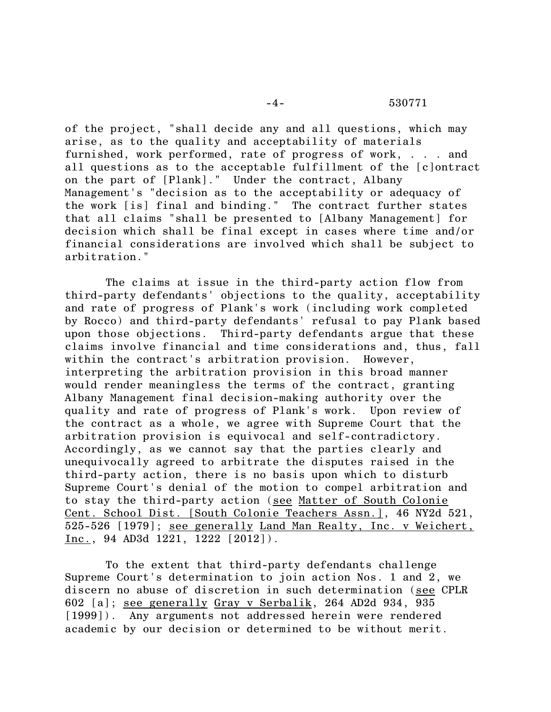of the project, "shall decide any and all questions, which may arise, as to the quality and acceptability of materials furnished, work performed, rate of progress of work, . . . and all questions as to the acceptable fulfillment of the [c]ontract on the part of [Plank]." Under the contract, Albany Management's "decision as to the acceptability or adequacy of the work [is] final and binding." The contract further states that all claims "shall be presented to [Albany Management] for decision which shall be final except in cases where time and/or financial considerations are involved which shall be subject to arbitration."

The claims at issue in the third-party action flow from third-party defendants' objections to the quality, acceptability and rate of progress of Plank's work (including work completed by Rocco) and third-party defendants' refusal to pay Plank based upon those objections. Third-party defendants argue that these claims involve financial and time considerations and, thus, fall within the contract's arbitration provision. However, interpreting the arbitration provision in this broad manner would render meaningless the terms of the contract, granting Albany Management final decision-making authority over the quality and rate of progress of Plank's work. Upon review of the contract as a whole, we agree with Supreme Court that the arbitration provision is equivocal and self-contradictory. Accordingly, as we cannot say that the parties clearly and unequivocally agreed to arbitrate the disputes raised in the third-party action, there is no basis upon which to disturb Supreme Court's denial of the motion to compel arbitration and to stay the third-party action (see Matter of South Colonie Cent. School Dist. [South Colonie Teachers Assn.], 46 NY2d 521, 525-526 [1979]; see generally Land Man Realty, Inc. v Weichert, Inc., 94 AD3d 1221, 1222 [2012]).

To the extent that third-party defendants challenge Supreme Court's determination to join action Nos. 1 and 2, we discern no abuse of discretion in such determination (see CPLR 602 [a]; see generally Gray v Serbalik, 264 AD2d 934, 935 [1999]). Any arguments not addressed herein were rendered academic by our decision or determined to be without merit.